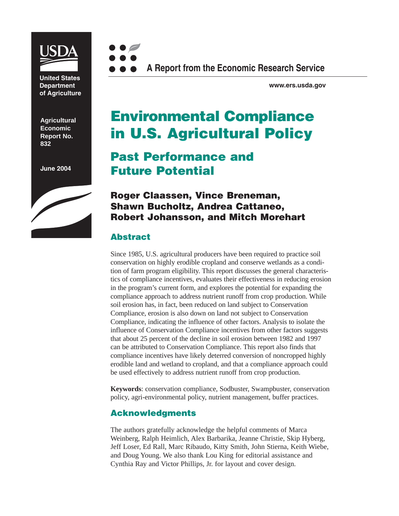

**United States Department of Agriculture**

**Agricultural Economic Report No. 832**

**June 2004**





**www.ers.usda.gov**

# **Environmental Compliance in U.S. Agricultural Policy**

## **Past Performance and Future Potential**

#### **Roger Claassen, Vince Breneman, Shawn Bucholtz, Andrea Cattaneo, Robert Johansson, and Mitch Morehart**

#### **Abstract**

Since 1985, U.S. agricultural producers have been required to practice soil conservation on highly erodible cropland and conserve wetlands as a condition of farm program eligibility. This report discusses the general characteristics of compliance incentives, evaluates their effectiveness in reducing erosion in the program's current form, and explores the potential for expanding the compliance approach to address nutrient runoff from crop production. While soil erosion has, in fact, been reduced on land subject to Conservation Compliance, erosion is also down on land not subject to Conservation Compliance, indicating the influence of other factors. Analysis to isolate the influence of Conservation Compliance incentives from other factors suggests that about 25 percent of the decline in soil erosion between 1982 and 1997 can be attributed to Conservation Compliance. This report also finds that compliance incentives have likely deterred conversion of noncropped highly erodible land and wetland to cropland, and that a compliance approach could be used effectively to address nutrient runoff from crop production.

**Keywords**: conservation compliance, Sodbuster, Swampbuster, conservation policy, agri-environmental policy, nutrient management, buffer practices.

#### **Acknowledgments**

The authors gratefully acknowledge the helpful comments of Marca Weinberg, Ralph Heimlich, Alex Barbarika, Jeanne Christie, Skip Hyberg, Jeff Loser, Ed Rall, Marc Ribaudo, Kitty Smith, John Stierna, Keith Wiebe, and Doug Young. We also thank Lou King for editorial assistance and Cynthia Ray and Victor Phillips, Jr. for layout and cover design.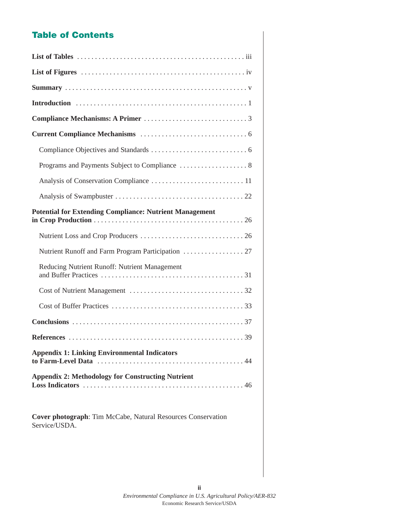### **Table of Contents**

| <b>Potential for Extending Compliance: Nutrient Management</b>                |
|-------------------------------------------------------------------------------|
|                                                                               |
|                                                                               |
| Reducing Nutrient Runoff: Nutrient Management                                 |
|                                                                               |
|                                                                               |
|                                                                               |
|                                                                               |
| <b>Appendix 1: Linking Environmental Indicators</b>                           |
| <b>Appendix 2: Methodology for Constructing Nutrient</b>                      |
| Cover photograph: Tim McCabe, Natural Resources Conservation<br>Service/USDA. |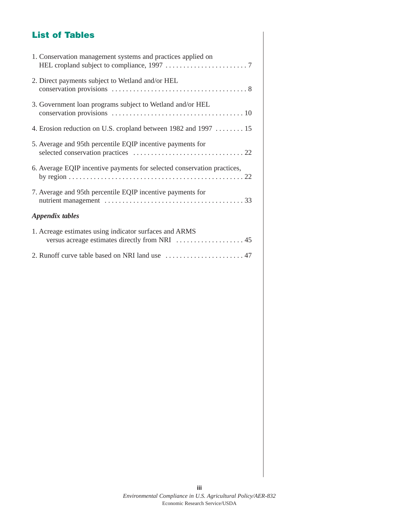## **List of Tables**

| 1. Conservation management systems and practices applied on             |
|-------------------------------------------------------------------------|
| 2. Direct payments subject to Wetland and/or HEL                        |
| 3. Government loan programs subject to Wetland and/or HEL               |
| 4. Erosion reduction on U.S. cropland between 1982 and 1997  15         |
| 5. Average and 95th percentile EQIP incentive payments for              |
| 6. Average EQIP incentive payments for selected conservation practices, |
| 7. Average and 95th percentile EQIP incentive payments for              |
| Appendix tables                                                         |
| 1. Acreage estimates using indicator surfaces and ARMS                  |
|                                                                         |